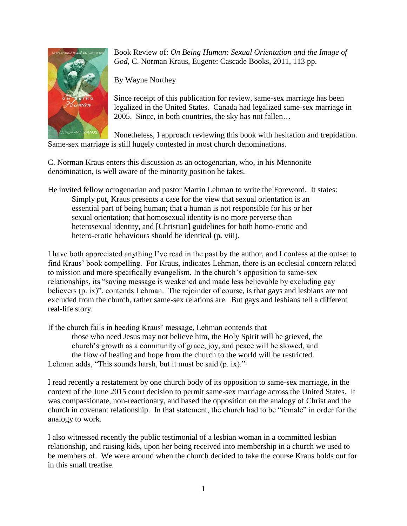

Book Review of: *On Being Human: Sexual Orientation and the Image of God*, C. Norman Kraus, Eugene: Cascade Books, 2011, 113 pp.

By Wayne Northey

Since receipt of this publication for review, same-sex marriage has been legalized in the United States. Canada had legalized same-sex marriage in 2005. Since, in both countries, the sky has not fallen…

Nonetheless, I approach reviewing this book with hesitation and trepidation. Same-sex marriage is still hugely contested in most church denominations.

C. Norman Kraus enters this discussion as an octogenarian, who, in his Mennonite denomination, is well aware of the minority position he takes.

He invited fellow octogenarian and pastor Martin Lehman to write the Foreword. It states: Simply put, Kraus presents a case for the view that sexual orientation is an essential part of being human; that a human is not responsible for his or her sexual orientation; that homosexual identity is no more perverse than heterosexual identity, and [Christian] guidelines for both homo-erotic and hetero-erotic behaviours should be identical (p. viii).

I have both appreciated anything I've read in the past by the author, and I confess at the outset to find Kraus' book compelling. For Kraus, indicates Lehman, there is an ecclesial concern related to mission and more specifically evangelism. In the church's opposition to same-sex relationships, its "saving message is weakened and made less believable by excluding gay believers (p. ix)", contends Lehman. The rejoinder of course, is that gays and lesbians are not excluded from the church, rather same-sex relations are. But gays and lesbians tell a different real-life story.

If the church fails in heeding Kraus' message, Lehman contends that those who need Jesus may not believe him, the Holy Spirit will be grieved, the church's growth as a community of grace, joy, and peace will be slowed, and the flow of healing and hope from the church to the world will be restricted. Lehman adds, "This sounds harsh, but it must be said (p. ix)."

I read recently a restatement by one church body of its opposition to same-sex marriage, in the context of the June 2015 court decision to permit same-sex marriage across the United States. It was compassionate, non-reactionary, and based the opposition on the analogy of Christ and the church in covenant relationship. In that statement, the church had to be "female" in order for the analogy to work.

I also witnessed recently the public testimonial of a lesbian woman in a committed lesbian relationship, and raising kids, upon her being received into membership in a church we used to be members of. We were around when the church decided to take the course Kraus holds out for in this small treatise.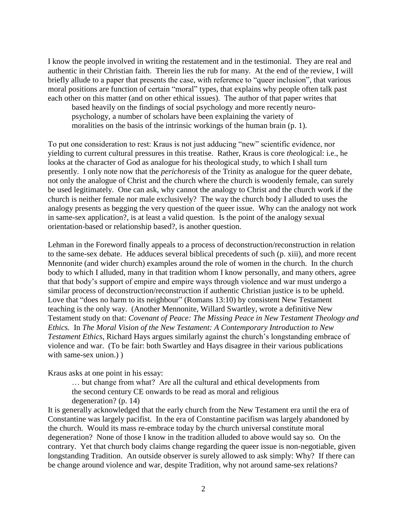I know the people involved in writing the restatement and in the testimonial. They are real and authentic in their Christian faith. Therein lies the rub for many. At the end of the review, I will briefly allude to a paper that presents the case, with reference to "queer inclusion", that various moral positions are function of certain "moral" types, that explains why people often talk past each other on this matter (and on other ethical issues). The author of that paper writes that

based heavily on the findings of social psychology and more recently neuropsychology, a number of scholars have been explaining the variety of moralities on the basis of the intrinsic workings of the human brain (p. 1).

To put one consideration to rest: Kraus is not just adducing "new" scientific evidence, nor yielding to current cultural pressures in this treatise. Rather, Kraus is core *theo*logical: i.e., he looks at the character of God as analogue for his theological study, to which I shall turn presently. I only note now that the *perichoresis* of the Trinity as analogue for the queer debate, not only the analogue of Christ and the church where the church is woodenly female, can surely be used legitimately. One can ask, why cannot the analogy to Christ and the church work if the church is neither female nor male exclusively? The way the church body I alluded to uses the analogy presents as begging the very question of the queer issue. Why can the analogy not work in same-sex application?, is at least a valid question. Is the point of the analogy sexual orientation-based or relationship based?, is another question.

Lehman in the Foreword finally appeals to a process of deconstruction/reconstruction in relation to the same-sex debate. He adduces several biblical precedents of such (p. xiii), and more recent Mennonite (and wider church) examples around the role of women in the church. In the church body to which I alluded, many in that tradition whom I know personally, and many others, agree that that body's support of empire and empire ways through violence and war must undergo a similar process of deconstruction/reconstruction if authentic Christian justice is to be upheld. Love that "does no harm to its neighbour" (Romans 13:10) by consistent New Testament teaching is the only way. (Another Mennonite, Willard Swartley, wrote a definitive New Testament study on that: *Covenant of Peace: The Missing Peace in New Testament Theology and Ethics.* In *The Moral Vision of the New Testament: A Contemporary Introduction to New Testament Ethics*, Richard Hays argues similarly against the church's longstanding embrace of violence and war. (To be fair: both Swartley and Hays disagree in their various publications with same-sex union.) )

Kraus asks at one point in his essay:

… but change from what? Are all the cultural and ethical developments from the second century CE onwards to be read as moral and religious degeneration? (p. 14)

It is generally acknowledged that the early church from the New Testament era until the era of Constantine was largely pacifist. In the era of Constantine pacifism was largely abandoned by the church. Would its mass re-embrace today by the church universal constitute moral degeneration? None of those I know in the tradition alluded to above would say so. On the contrary. Yet that church body claims change regarding the queer issue is non-negotiable, given longstanding Tradition. An outside observer is surely allowed to ask simply: Why? If there can be change around violence and war, despite Tradition, why not around same-sex relations?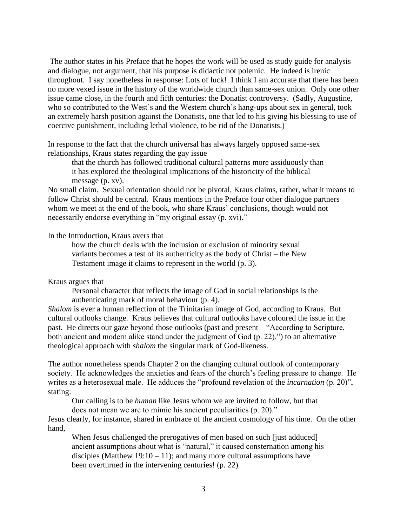The author states in his Preface that he hopes the work will be used as study guide for analysis and dialogue, not argument, that his purpose is didactic not polemic. He indeed is irenic throughout. I say nonetheless in response: Lots of luck! I think I am accurate that there has been no more vexed issue in the history of the worldwide church than same-sex union. Only one other issue came close, in the fourth and fifth centuries: the Donatist controversy. (Sadly, Augustine, who so contributed to the West's and the Western church's hang-ups about sex in general, took an extremely harsh position against the Donatists, one that led to his giving his blessing to use of coercive punishment, including lethal violence, to be rid of the Donatists.)

In response to the fact that the church universal has always largely opposed same-sex relationships, Kraus states regarding the gay issue

that the church has followed traditional cultural patterns more assiduously than it has explored the theological implications of the historicity of the biblical message (p. xv).

No small claim. Sexual orientation should not be pivotal, Kraus claims, rather, what it means to follow Christ should be central. Kraus mentions in the Preface four other dialogue partners whom we meet at the end of the book, who share Kraus' conclusions, though would not necessarily endorse everything in "my original essay (p. xvi)."

## In the Introduction, Kraus avers that

how the church deals with the inclusion or exclusion of minority sexual variants becomes a test of its authenticity as the body of Christ – the New Testament image it claims to represent in the world (p. 3).

# Kraus argues that

Personal character that reflects the image of God in social relationships is the authenticating mark of moral behaviour (p. 4).

*Shalom* is ever a human reflection of the Trinitarian image of God, according to Kraus. But cultural outlooks change. Kraus believes that cultural outlooks have coloured the issue in the past. He directs our gaze beyond those outlooks (past and present – "According to Scripture, both ancient and modern alike stand under the judgment of God (p. 22).") to an alternative theological approach with *shalom* the singular mark of God-likeness.

The author nonetheless spends Chapter 2 on the changing cultural outlook of contemporary society. He acknowledges the anxieties and fears of the church's feeling pressure to change. He writes as a heterosexual male. He adduces the "profound revelation of the *incarnation* (p. 20)", stating:

Our calling is to be *human* like Jesus whom we are invited to follow, but that does not mean we are to mimic his ancient peculiarities (p. 20)."

Jesus clearly, for instance, shared in embrace of the ancient cosmology of his time. On the other hand,

When Jesus challenged the prerogatives of men based on such [just adduced] ancient assumptions about what is "natural," it caused consternation among his disciples (Matthew 19:10 – 11); and many more cultural assumptions have been overturned in the intervening centuries! (p. 22)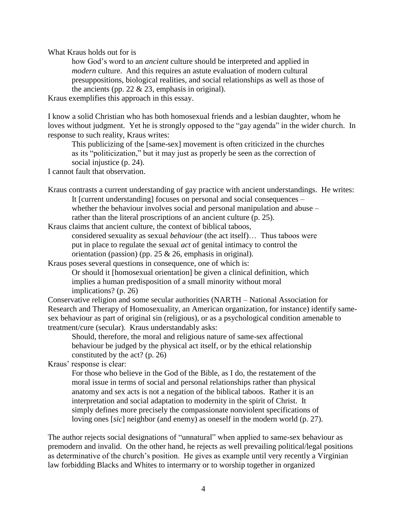What Kraus holds out for is

how God's word to an *ancient* culture should be interpreted and applied in *modern* culture. And this requires an astute evaluation of modern cultural presuppositions, biological realities, and social relationships as well as those of the ancients (pp.  $22 \& 23$ , emphasis in original).

Kraus exemplifies this approach in this essay.

I know a solid Christian who has both homosexual friends and a lesbian daughter, whom he loves without judgment. Yet he is strongly opposed to the "gay agenda" in the wider church. In response to such reality, Kraus writes:

This publicizing of the [same-sex] movement is often criticized in the churches as its "politicization," but it may just as properly be seen as the correction of social injustice (p. 24).

I cannot fault that observation.

Kraus contrasts a current understanding of gay practice with ancient understandings. He writes: It [current understanding] focuses on personal and social consequences – whether the behaviour involves social and personal manipulation and abuse – rather than the literal proscriptions of an ancient culture (p. 25).

Kraus claims that ancient culture, the context of biblical taboos, considered sexuality as sexual *behaviour* (the act itself)… Thus taboos were put in place to regulate the sexual *act* of genital intimacy to control the orientation (passion) (pp. 25  $& 26$ , emphasis in original).

Kraus poses several questions in consequence, one of which is: Or should it [homosexual orientation] be given a clinical definition, which implies a human predisposition of a small minority without moral implications? (p. 26)

Conservative religion and some secular authorities (NARTH – National Association for Research and Therapy of Homosexuality, an American organization, for instance) identify samesex behaviour as part of original sin (religious), or as a psychological condition amenable to treatment/cure (secular). Kraus understandably asks:

Should, therefore, the moral and religious nature of same-sex affectional behaviour be judged by the physical act itself, or by the ethical relationship constituted by the act? (p. 26)

Kraus' response is clear:

For those who believe in the God of the Bible, as I do, the restatement of the moral issue in terms of social and personal relationships rather than physical anatomy and sex acts is not a negation of the biblical taboos. Rather it is an interpretation and social adaptation to modernity in the spirit of Christ. It simply defines more precisely the compassionate nonviolent specifications of loving ones [*sic*] neighbor (and enemy) as oneself in the modern world (p. 27).

The author rejects social designations of "unnatural" when applied to same-sex behaviour as premodern and invalid. On the other hand, he rejects as well prevailing political/legal positions as determinative of the church's position. He gives as example until very recently a Virginian law forbidding Blacks and Whites to intermarry or to worship together in organized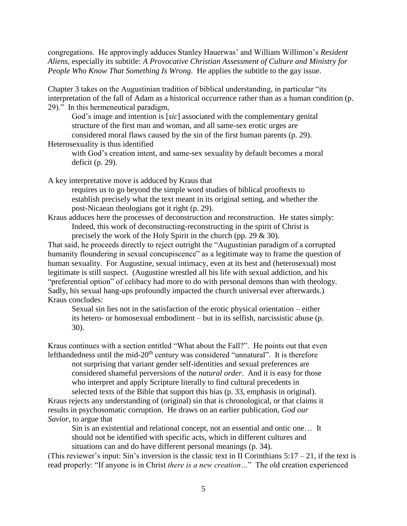congregations. He approvingly adduces Stanley Hauerwas' and William Willimon's *Resident Aliens*, especially its subtitle: *A Provocative Christian Assessment of Culture and Ministry for People Who Know That Something Is Wrong*. He applies the subtitle to the gay issue.

Chapter 3 takes on the Augustinian tradition of biblical understanding, in particular "its interpretation of the fall of Adam as a historical occurrence rather than as a human condition (p. 29)." In this hermeneutical paradigm,

God's image and intention is [*sic*] associated with the complementary genital structure of the first man and woman, and all same-sex erotic urges are considered moral flaws caused by the sin of the first human parents (p. 29).

Heterosexuality is thus identified

with God's creation intent, and same-sex sexuality by default becomes a moral deficit (p. 29).

A key interpretative move is adduced by Kraus that

requires us to go beyond the simple word studies of biblical prooftexts to establish precisely what the text meant in its original setting, and whether the post-Nicaean theologians got it right (p. 29).

Kraus adduces here the processes of deconstruction and reconstruction. He states simply: Indeed, this work of deconstructing-reconstructing in the spirit of Christ is precisely the work of the Holy Spirit in the church (pp. 29 & 30).

That said, he proceeds directly to reject outright the "Augustinian paradigm of a corrupted humanity floundering in sexual concupiscence" as a legitimate way to frame the question of human sexuality. For Augustine, sexual intimacy, even at its best and (heterosexual) most legitimate is still suspect. (Augustine wrestled all his life with sexual addiction, and his "preferential option" of celibacy had more to do with personal demons than with theology. Sadly, his sexual hang-ups profoundly impacted the church universal ever afterwards.) Kraus concludes:

Sexual sin lies not in the satisfaction of the erotic physical orientation – either its hetero- or homosexual embodiment – but in its selfish, narcissistic abuse (p. 30).

Kraus continues with a section entitled "What about the Fall?". He points out that even lefthandedness until the mid- $20<sup>th</sup>$  century was considered "unnatural". It is therefore

not surprising that variant gender self-identities and sexual preferences are considered shameful perversions of the *natural order*. And it is easy for those who interpret and apply Scripture literally to find cultural precedents in selected texts of the Bible that support this bias (p. 33, emphasis in original).

Kraus rejects any understanding of (original) sin that is chronological, or that claims it results in psychosomatic corruption. He draws on an earlier publication, *God our Savior*, to argue that

Sin is an existential and relational concept, not an essential and ontic one… It should not be identified with specific acts, which in different cultures and situations can and do have different personal meanings (p. 34).

(This reviewer's input: Sin's inversion is the classic text in II Corinthians  $5:17 - 21$ , if the text is read properly: "If anyone is in Christ *there is a new creation…*" The old creation experienced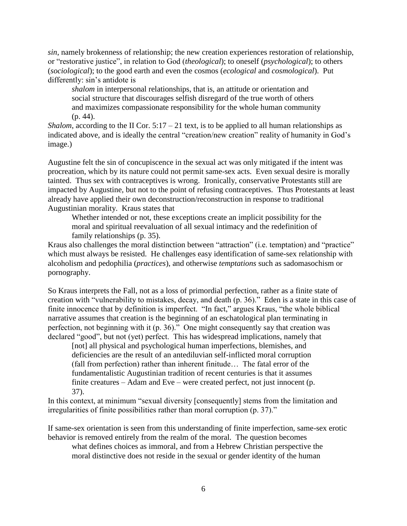*sin*, namely brokenness of relationship; the new creation experiences restoration of relationship, or "restorative justice", in relation to God (*theological*); to oneself (*psychological*); to others (*sociological*); to the good earth and even the cosmos (*ecological* and *cosmological*). Put differently: sin's antidote is

*shalom* in interpersonal relationships, that is, an attitude or orientation and social structure that discourages selfish disregard of the true worth of others and maximizes compassionate responsibility for the whole human community (p. 44).

*Shalom*, according to the II Cor.  $5:17 - 21$  text, is to be applied to all human relationships as indicated above, and is ideally the central "creation/new creation" reality of humanity in God's image.)

Augustine felt the sin of concupiscence in the sexual act was only mitigated if the intent was procreation, which by its nature could not permit same-sex acts. Even sexual desire is morally tainted. Thus sex with contraceptives is wrong. Ironically, conservative Protestants still are impacted by Augustine, but not to the point of refusing contraceptives. Thus Protestants at least already have applied their own deconstruction/reconstruction in response to traditional Augustinian morality. Kraus states that

Whether intended or not, these exceptions create an implicit possibility for the moral and spiritual reevaluation of all sexual intimacy and the redefinition of family relationships (p. 35).

Kraus also challenges the moral distinction between "attraction" (i.e. temptation) and "practice" which must always be resisted. He challenges easy identification of same-sex relationship with alcoholism and pedophilia (*practices*), and otherwise *temptations* such as sadomasochism or pornography.

So Kraus interprets the Fall, not as a loss of primordial perfection, rather as a finite state of creation with "vulnerability to mistakes, decay, and death (p. 36)." Eden is a state in this case of finite innocence that by definition is imperfect. "In fact," argues Kraus, "the whole biblical narrative assumes that creation is the beginning of an eschatological plan terminating in perfection, not beginning with it (p. 36)." One might consequently say that creation was declared "good", but not (yet) perfect. This has widespread implications, namely that

[not] all physical and psychological human imperfections, blemishes, and deficiencies are the result of an antediluvian self-inflicted moral corruption (fall from perfection) rather than inherent finitude… The fatal error of the fundamentalistic Augustinian tradition of recent centuries is that it assumes finite creatures – Adam and Eve – were created perfect, not just innocent (p. 37).

In this context, at minimum "sexual diversity [consequently] stems from the limitation and irregularities of finite possibilities rather than moral corruption (p. 37)."

If same-sex orientation is seen from this understanding of finite imperfection, same-sex erotic behavior is removed entirely from the realm of the moral. The question becomes

what defines choices as immoral, and from a Hebrew Christian perspective the moral distinctive does not reside in the sexual or gender identity of the human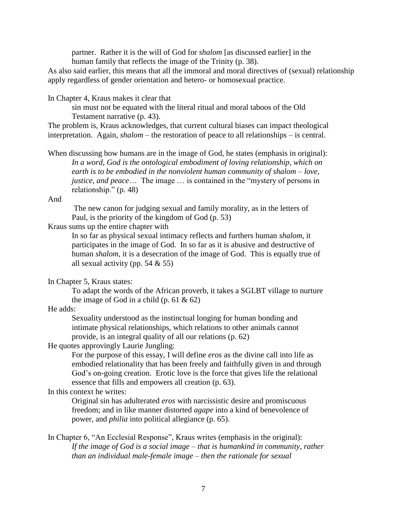partner. Rather it is the will of God for *shalom* [as discussed earlier] in the human family that reflects the image of the Trinity (p. 38).

As also said earlier, this means that all the immoral and moral directives of (sexual) relationship apply regardless of gender orientation and hetero- or homosexual practice.

In Chapter 4, Kraus makes it clear that

sin must not be equated with the literal ritual and moral taboos of the Old Testament narrative (p. 43).

The problem is, Kraus acknowledges, that current cultural biases can impact theological interpretation. Again, *shalom* – the restoration of peace to all relationships – is central.

When discussing how humans are in the image of God, he states (emphasis in original): *In a word, God is the ontological embodiment of loving relationship, which on earth is to be embodied in the nonviolent human community of shalom – love, justice, and peace*… The image … is contained in the "mystery of persons in relationship." (p. 48)

And

The new canon for judging sexual and family morality, as in the letters of Paul, is the priority of the kingdom of God (p. 53)

Kraus sums up the entire chapter with

In so far as physical sexual intimacy reflects and furthers human *shalom*, it participates in the image of God. In so far as it is abusive and destructive of human *shalom*, it is a desecration of the image of God. This is equally true of all sexual activity (pp.  $54 \& 55$ )

In Chapter 5, Kraus states:

To adapt the words of the African proverb, it takes a SGLBT village to nurture the image of God in a child  $(p. 61 \& 62)$ 

# He adds:

Sexuality understood as the instinctual longing for human bonding and intimate physical relationships, which relations to other animals cannot provide, is an integral quality of all our relations (p. 62)

He quotes approvingly Laurie Jungling:

For the purpose of this essay, I will define *eros* as the divine call into life as embodied relationality that has been freely and faithfully given in and through God's on-going creation. Erotic love is the force that gives life the relational essence that fills and empowers all creation (p. 63).

#### In this context he writes:

Original sin has adulterated *eros* with narcissistic desire and promiscuous freedom; and in like manner distorted *agape* into a kind of benevolence of power, and *philia* into political allegiance (p. 65).

In Chapter 6, "An Ecclesial Response", Kraus writes (emphasis in the original): *If the image of God is a social image – that is humankind in community, rather than an individual male-female image – then the rationale for sexual*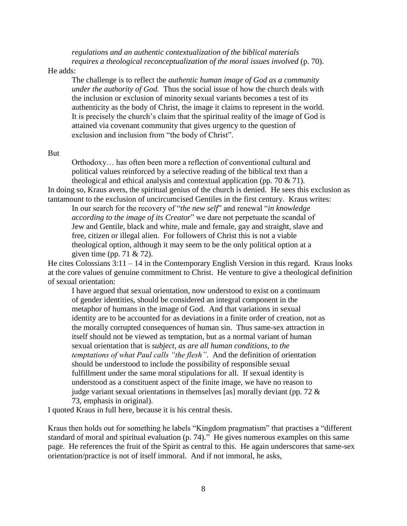*regulations and an authentic contextualization of the biblical materials requires a theological reconceptualization of the moral issues involved* (p. 70).

He adds:

The challenge is to reflect the *authentic human image of God as a community under the authority of God.* Thus the social issue of how the church deals with the inclusion or exclusion of minority sexual variants becomes a test of its authenticity as the body of Christ, the image it claims to represent in the world. It is precisely the church's claim that the spiritual reality of the image of God is attained via covenant community that gives urgency to the question of exclusion and inclusion from "the body of Christ".

## But

Orthodoxy… has often been more a reflection of conventional cultural and political values reinforced by a selective reading of the biblical text than a theological and ethical analysis and contextual application (pp. 70  $\&$  71).

In doing so, Kraus avers, the spiritual genius of the church is denied. He sees this exclusion as tantamount to the exclusion of uncircumcised Gentiles in the first century. Kraus writes:

In our search for the recovery of "*the new self*" and renewal "*in knowledge according to the image of its Creator*" we dare not perpetuate the scandal of Jew and Gentile, black and white, male and female, gay and straight, slave and free, citizen or illegal alien. For followers of Christ this is not a viable theological option, although it may seem to be the only political option at a given time (pp. 71 & 72).

He cites Colossians 3:11 – 14 in the Contemporary English Version in this regard. Kraus looks at the core values of genuine commitment to Christ. He venture to give a theological definition of sexual orientation:

I have argued that sexual orientation, now understood to exist on a continuum of gender identities, should be considered an integral component in the metaphor of humans in the image of God. And that variations in sexual identity are to be accounted for as deviations in a finite order of creation, not as the morally corrupted consequences of human sin. Thus same-sex attraction in itself should not be viewed as temptation, but as a normal variant of human sexual orientation that is *subject, as are all human conditions, to the temptations of what Paul calls "the flesh"*. And the definition of orientation should be understood to include the possibility of responsible sexual fulfillment under the same moral stipulations for all. If sexual identity is understood as a constituent aspect of the finite image, we have no reason to judge variant sexual orientations in themselves [as] morally deviant (pp. 72  $\&$ 73, emphasis in original).

I quoted Kraus in full here, because it is his central thesis.

Kraus then holds out for something he labels "Kingdom pragmatism" that practises a "different standard of moral and spiritual evaluation (p. 74)." He gives numerous examples on this same page. He references the fruit of the Spirit as central to this. He again underscores that same-sex orientation/practice is not of itself immoral. And if not immoral, he asks,